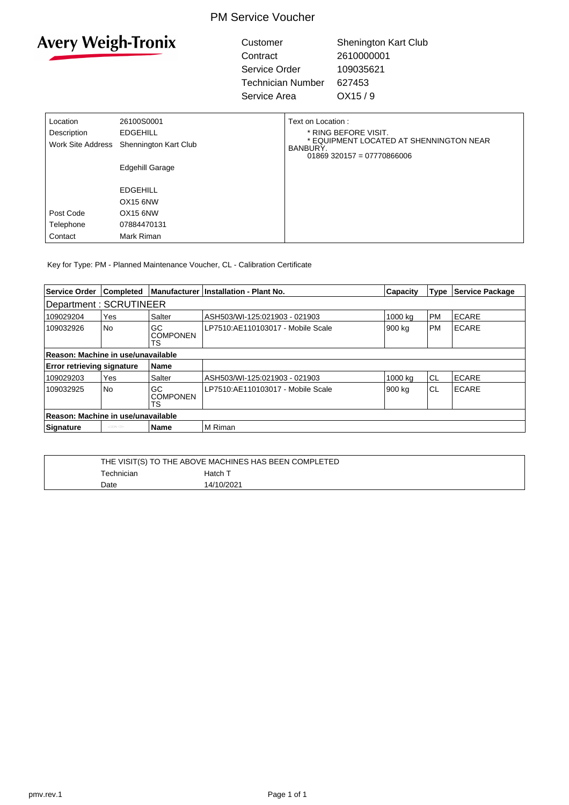### PM Service Voucher



Customer Shenington Kart Club Contract 2610000001 Service Order 109035621 Technician Number 627453 Service Area OX15 / 9

| Location          | 26100S0001            | Text on Location:                                                                   |
|-------------------|-----------------------|-------------------------------------------------------------------------------------|
| Description       | EDGEHILL              | * RING BEFORE VISIT.                                                                |
| Work Site Address | Shennington Kart Club | * EQUIPMENT LOCATED AT SHENNINGTON NEAR<br>BANBURY.<br>$01869$ 320157 = 07770866006 |
|                   | Edgehill Garage       |                                                                                     |
|                   | <b>EDGEHILL</b>       |                                                                                     |
|                   | OX <sub>15</sub> 6NW  |                                                                                     |
| Post Code         | OX15 6NW              |                                                                                     |
| Telephone         | 07884470131           |                                                                                     |
| Contact           | Mark Riman            |                                                                                     |

Key for Type: PM - Planned Maintenance Voucher, CL - Calibration Certificate

| Service Order                                    | <b>Completed</b> |                              | Manufacturer Installation - Plant No. | <b>Capacity</b> | Type      | Service Package |
|--------------------------------------------------|------------------|------------------------------|---------------------------------------|-----------------|-----------|-----------------|
| Department: SCRUTINEER                           |                  |                              |                                       |                 |           |                 |
| 109029204                                        | Yes              | Salter                       | ASH503/WI-125:021903 - 021903         | 1000 ka         | <b>PM</b> | <b>ECARE</b>    |
| 109032926                                        | <b>No</b>        | GC<br><b>COMPONEN</b><br>TS  | LP7510:AE110103017 - Mobile Scale     | 900 kg          | <b>PM</b> | <b>ECARE</b>    |
| Reason: Machine in use/unavailable               |                  |                              |                                       |                 |           |                 |
| <b>Error retrieving signature</b><br><b>Name</b> |                  |                              |                                       |                 |           |                 |
| 109029203                                        | Yes              | Salter                       | ASH503/WI-125:021903 - 021903         | 1000 ka         | <b>CL</b> | <b>ECARE</b>    |
| 109032925                                        | <b>No</b>        | GC<br><b>COMPONEN</b><br>TS. | LP7510:AE110103017 - Mobile Scale     | 900 kg          | CL        | <b>ECARE</b>    |
| Reason: Machine in use/unavailable               |                  |                              |                                       |                 |           |                 |
| Signature                                        | <b>COVID</b>     | <b>Name</b>                  | M Riman                               |                 |           |                 |

|                   | THE VISIT(S) TO THE ABOVE MACHINES HAS BEEN COMPLETED |  |  |  |
|-------------------|-------------------------------------------------------|--|--|--|
| <b>Fechnician</b> | Hatch T                                               |  |  |  |
| Date              | 14/10/2021                                            |  |  |  |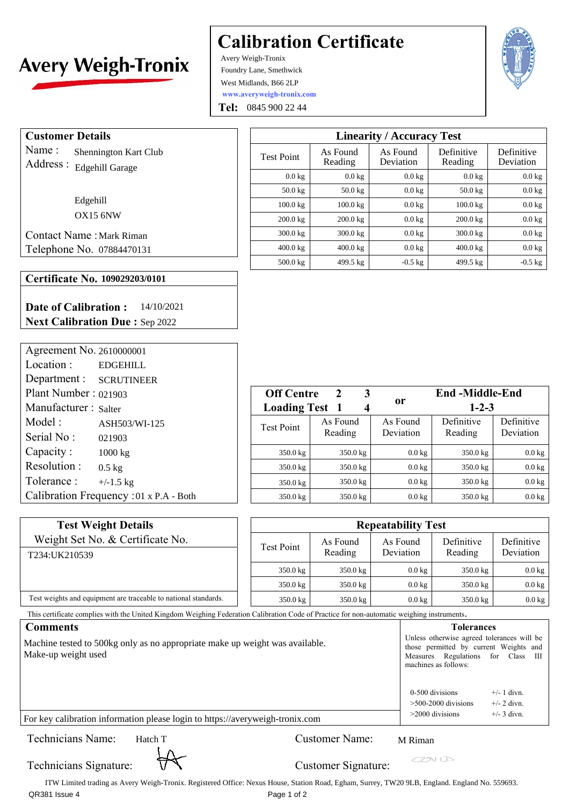# **Avery Weigh-Tronix**

## **Calibration Certificate**

**www.averyweigh-tronix.com**  Avery Weigh-Tronix Foundry Lane, Smethwick West Midlands, B66 2LP

**Tel:**  0845 900 22 44

 $\lceil$ 



**Customer Details** 

Name : Address : Edgehill Garage Shennington Kart Club

> Edgehill OX15 6NW

Contact Name : Mark Riman Telephone No. 07884470131

### **Certificate No. 109029203/0101**

**Date of Calibration : Next Calibration Due :**  Sep 2022 14/10/2021

| Agreement No. 2610000001                |                       |                         |
|-----------------------------------------|-----------------------|-------------------------|
| Location:<br><b>EDGEHILL</b>            |                       |                         |
| Department : SCRUTINEER                 |                       |                         |
| Plant Number: 021903                    | <b>Off Centre</b>     | 3<br>$\mathbf{2}$       |
| Manufacturer: Salter                    | <b>Loading Test 1</b> | $\overline{\mathbf{4}}$ |
| Model:<br>ASH503/WI-125                 | <b>Test Point</b>     | As Found                |
| Serial No:<br>021903                    |                       | Reading                 |
| Capacity:<br>1000 kg                    | 350.0 kg              | 350.0 kg                |
| Resolution:<br>$0.5 \text{ kg}$         | $350.0$ kg            | 350.0 kg                |
| Tolerance:<br>$+/-1.5$ kg               | $350.0$ kg            | 350.0 kg                |
| Calibration Frequency : 01 x P.A - Both | 350.0 kg              | 350.0 kg                |

| <b>Linearity / Accuracy Test</b> |                     |                       |                       |                         |
|----------------------------------|---------------------|-----------------------|-----------------------|-------------------------|
| <b>Test Point</b>                | As Found<br>Reading | As Found<br>Deviation | Definitive<br>Reading | Definitive<br>Deviation |
| $0.0 \text{ kg}$                 | $0.0 \text{ kg}$    | $0.0 \text{ kg}$      | $0.0 \text{ kg}$      | $0.0$ kg                |
| $50.0 \text{ kg}$                | $50.0 \text{ kg}$   | $0.0$ kg              | $50.0 \text{ kg}$     | $0.0$ kg                |
| $100.0$ kg                       | $100.0$ kg          | $0.0 \text{ kg}$      | $100.0$ kg            | $0.0$ kg                |
| $200.0$ kg                       | $200.0$ kg          | $0.0$ kg              | $200.0 \text{ kg}$    | $0.0$ kg                |
| $300.0 \text{ kg}$               | $300.0 \text{ kg}$  | $0.0 \text{ kg}$      | $300.0 \text{ kg}$    | $0.0$ kg                |
| $400.0 \text{ kg}$               | $400.0 \text{ kg}$  | $0.0$ kg              | $400.0 \text{ kg}$    | $0.0$ kg                |
| $500.0 \text{ kg}$               | 499.5 kg            | $-0.5 \text{ kg}$     | 499.5 kg              | $-0.5$ kg               |

| <b>Off Centre</b>        | 2<br>3              |                       | <b>End-Middle-End</b> |                         |
|--------------------------|---------------------|-----------------------|-----------------------|-------------------------|
| <b>Loading Test</b><br>1 |                     | or                    | $1 - 2 - 3$           |                         |
| <b>Test Point</b>        | As Found<br>Reading | As Found<br>Deviation | Definitive<br>Reading | Definitive<br>Deviation |
| $350.0$ kg               | 350.0 kg            | $0.0 \text{ kg}$      | $350.0 \text{ kg}$    | $0.0 \text{ kg}$        |
| 350.0 kg                 | 350.0 kg            | $0.0 \text{ kg}$      | 350.0 kg              | $0.0$ kg                |
| 350.0 kg                 | 350.0 kg            | $0.0 \text{ kg}$      | $350.0 \text{ kg}$    | $0.0 \text{ kg}$        |
| $350.0 \text{ kg}$       | 350.0 kg            | $0.0 \text{ kg}$      | $350.0 \text{ kg}$    | $0.0 \text{ kg}$        |

| <b>Test Weight Details</b>                                      | <b>Repeatability Test</b> |                    |                  |                    |                    |  |
|-----------------------------------------------------------------|---------------------------|--------------------|------------------|--------------------|--------------------|--|
| Weight Set No. & Certificate No.                                | Test Point                | As Found           | As Found         | Definitive         | Definitive         |  |
| T234:UK210539                                                   |                           | Reading            | Deviation        | Reading            | Deviation          |  |
|                                                                 | $350.0 \text{ kg}$        | $350.0 \text{ kg}$ | $0.0 \text{ kg}$ | $350.0 \text{ kg}$ | $0.0$ kg           |  |
|                                                                 | $350.0 \text{ kg}$        | $350.0 \text{ kg}$ | $0.0 \text{ kg}$ | $350.0 \text{ kg}$ | $0.0$ kg           |  |
| Test weights and equipment are traceable to national standards. | $350.0$ kg                | $350.0 \text{ kg}$ | $0.0 \text{ kg}$ | $350.0$ kg         | $0.0\ \mathrm{kg}$ |  |

This certificate complies with the United Kingdom Weighing Federation Calibration Code of Practice for non-automatic weighing instruments.

| <b>Comments</b>                                                                                     | <b>Tolerances</b>                                                                                                                                  |  |  |
|-----------------------------------------------------------------------------------------------------|----------------------------------------------------------------------------------------------------------------------------------------------------|--|--|
| Machine tested to 500kg only as no appropriate make up weight was available.<br>Make-up weight used | Unless otherwise agreed tolerances will be<br>those permitted by current Weights and<br>Measures Regulations for Class III<br>machines as follows: |  |  |
| For key calibration information please login to https://averyweigh-tronix.com                       | 0-500 divisions<br>$+/- 1$ divn.<br>$>500-2000$ divisions<br>$+/- 2$ divn.<br>$+/-$ 3 divn.<br>$>$ 2000 divisions                                  |  |  |

Technicians Name: Hatch T

## Customer Name: M Riman

 $C\!D\!V$ 

Technicians Signature:  $\overrightarrow{V}$  Customer Signature:

ITW Limited trading as Avery Weigh-Tronix. Registered Office: Nexus House, Station Road, Egham, Surrey, TW20 9LB, England. England No. 559693. QR381 Issue 4 Page 1 of 2